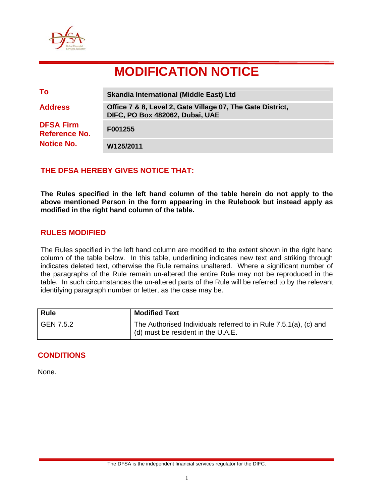

# **MODIFICATION NOTICE**

| To                                | <b>Skandia International (Middle East) Ltd</b>                                                |
|-----------------------------------|-----------------------------------------------------------------------------------------------|
| <b>Address</b>                    | Office 7 & 8, Level 2, Gate Village 07, The Gate District,<br>DIFC, PO Box 482062, Dubai, UAE |
| <b>DFSA Firm</b><br>Reference No. | F001255                                                                                       |
| <b>Notice No.</b>                 | W125/2011                                                                                     |

## **THE DFSA HEREBY GIVES NOTICE THAT:**

**The Rules specified in the left hand column of the table herein do not apply to the above mentioned Person in the form appearing in the Rulebook but instead apply as modified in the right hand column of the table.** 

### **RULES MODIFIED**

The Rules specified in the left hand column are modified to the extent shown in the right hand column of the table below. In this table, underlining indicates new text and striking through indicates deleted text, otherwise the Rule remains unaltered. Where a significant number of the paragraphs of the Rule remain un-altered the entire Rule may not be reproduced in the table. In such circumstances the un-altered parts of the Rule will be referred to by the relevant identifying paragraph number or letter, as the case may be.

| <b>Rule</b> | <b>Modified Text</b>                                                                                        |
|-------------|-------------------------------------------------------------------------------------------------------------|
| GEN 7.5.2   | The Authorised Individuals referred to in Rule $7.5.1(a)$ , $(c)$ and<br>(d) must be resident in the U.A.E. |

## **CONDITIONS**

None.